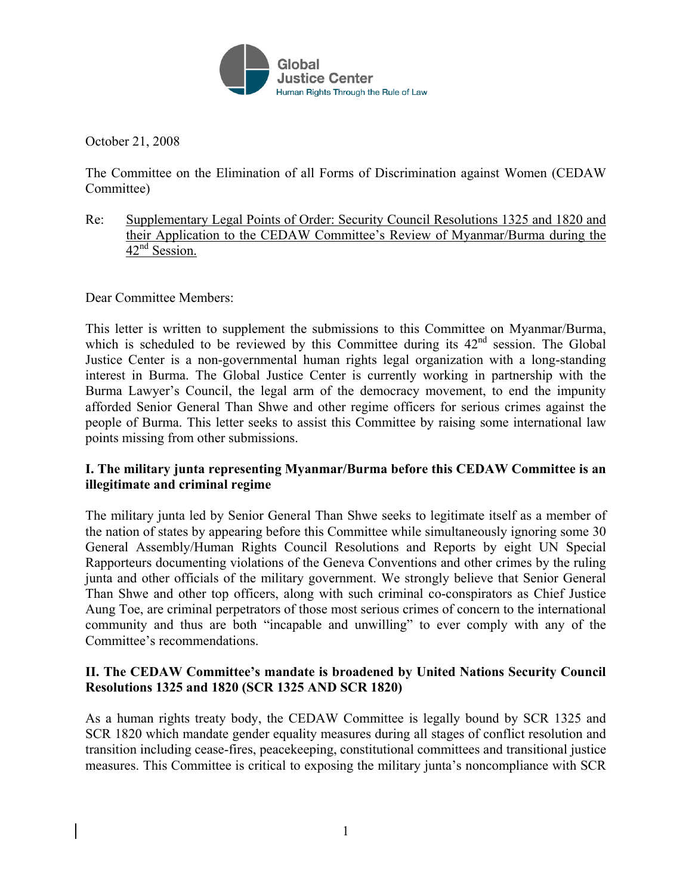

October 21, 2008

The Committee on the Elimination of all Forms of Discrimination against Women (CEDAW Committee)

Re: Supplementary Legal Points of Order: Security Council Resolutions 1325 and 1820 and their Application to the CEDAW Committee's Review of Myanmar/Burma during the  $42<sup>nd</sup>$  Session.

Dear Committee Members:

This letter is written to supplement the submissions to this Committee on Myanmar/Burma, which is scheduled to be reviewed by this Committee during its  $42<sup>nd</sup>$  session. The Global Justice Center is a non-governmental human rights legal organization with a long-standing interest in Burma. The Global Justice Center is currently working in partnership with the Burma Lawyer's Council, the legal arm of the democracy movement, to end the impunity afforded Senior General Than Shwe and other regime officers for serious crimes against the people of Burma. This letter seeks to assist this Committee by raising some international law points missing from other submissions.

# **I. The military junta representing Myanmar/Burma before this CEDAW Committee is an illegitimate and criminal regime**

The military junta led by Senior General Than Shwe seeks to legitimate itself as a member of the nation of states by appearing before this Committee while simultaneously ignoring some 30 General Assembly/Human Rights Council Resolutions and Reports by eight UN Special Rapporteurs documenting violations of the Geneva Conventions and other crimes by the ruling junta and other officials of the military government. We strongly believe that Senior General Than Shwe and other top officers, along with such criminal co-conspirators as Chief Justice Aung Toe, are criminal perpetrators of those most serious crimes of concern to the international community and thus are both "incapable and unwilling" to ever comply with any of the Committee's recommendations.

# **II. The CEDAW Committee's mandate is broadened by United Nations Security Council Resolutions 1325 and 1820 (SCR 1325 AND SCR 1820)**

As a human rights treaty body, the CEDAW Committee is legally bound by SCR 1325 and SCR 1820 which mandate gender equality measures during all stages of conflict resolution and transition including cease-fires, peacekeeping, constitutional committees and transitional justice measures. This Committee is critical to exposing the military junta's noncompliance with SCR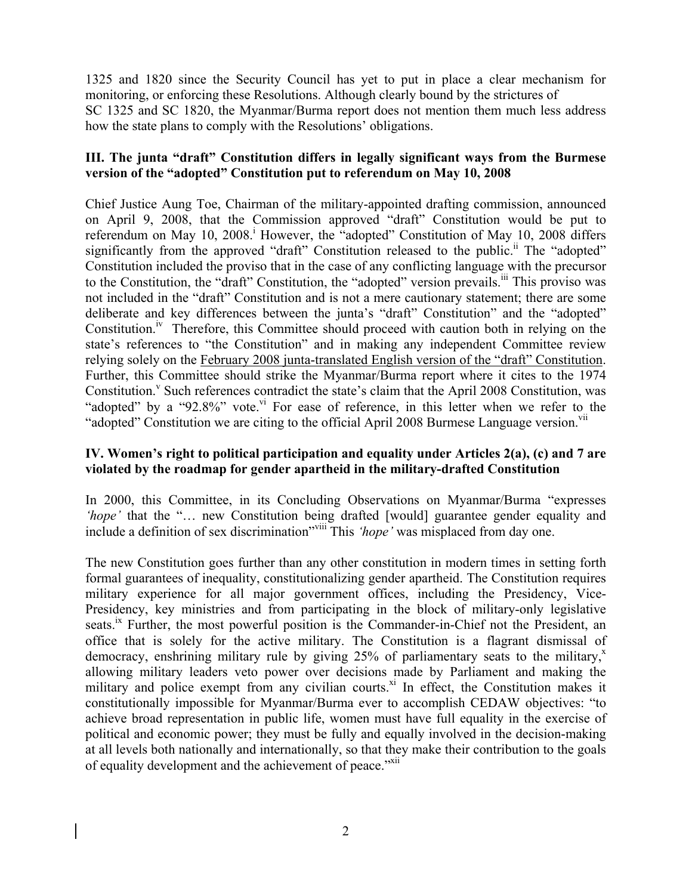1325 and 1820 since the Security Council has yet to put in place a clear mechanism for monitoring, or enforcing these Resolutions. Although clearly bound by the strictures of SC 1325 and SC 1820, the Myanmar/Burma report does not mention them much less address how the state plans to comply with the Resolutions' obligations.

#### **III. The junta "draft" Constitution differs in legally significant ways from the Burmese version of the "adopted" Constitution put to referendum on May 10, 2008**

Chief Justice Aung Toe, Chairman of the military-appointed drafting commission, announced on April 9, 2008, that the Commission approved "draft" Constitution would be put to referendum on May 10, 2008.<sup>1</sup> However, the "adopted" Constitution of May 10, 2008 differs significantly from the approved "draft" Constitution released to the public.<sup>ii</sup> The "adopted" Constitution included the proviso that in the case of any conflicting language with the precursor to the Constitution, the "draft" Constitution, the "adopted" version prevails.<sup>III</sup> This proviso was not included in the "draft" Constitution and is not a mere cautionary statement; there are some deliberate and key differences between the junta's "draft" Constitution" and the "adopted" Constitution.<sup>iv</sup> Therefore, this Committee should proceed with caution both in relying on the state's references to "the Constitution" and in making any independent Committee review relying solely on the February 2008 junta-translated English version of the "draft" Constitution. Further, this Committee should strike the Myanmar/Burma report where it cites to the 1974 Constitution.<sup>v</sup> Such references contradict the state's claim that the April 2008 Constitution, was "adopted" by a "92.8%" vote. If For ease of reference, in this letter when we refer to the "adopted" Constitution we are citing to the official April 2008 Burmese Language version.<sup>VII</sup>

## **IV. Women's right to political participation and equality under Articles 2(a), (c) and 7 are violated by the roadmap for gender apartheid in the military-drafted Constitution**

In 2000, this Committee, in its Concluding Observations on Myanmar/Burma "expresses *hope'* that the "... new Constitution being drafted [would] guarantee gender equality and include a definition of sex discrimination"viii This *'hope'* was misplaced from day one.

The new Constitution goes further than any other constitution in modern times in setting forth formal guarantees of inequality, constitutionalizing gender apartheid. The Constitution requires military experience for all major government offices, including the Presidency, Vice-Presidency, key ministries and from participating in the block of military-only legislative seats.<sup>ix</sup> Further, the most powerful position is the Commander-in-Chief not the President, an office that is solely for the active military. The Constitution is a flagrant dismissal of democracy, enshrining military rule by giving  $25\%$  of parliamentary seats to the military,<sup>x</sup> allowing military leaders veto power over decisions made by Parliament and making the military and police exempt from any civilian courts.<sup>xi</sup> In effect, the Constitution makes it constitutionally impossible for Myanmar/Burma ever to accomplish CEDAW objectives: "to achieve broad representation in public life, women must have full equality in the exercise of political and economic power; they must be fully and equally involved in the decision-making at all levels both nationally and internationally, so that they make their contribution to the goals of equality development and the achievement of peace."xii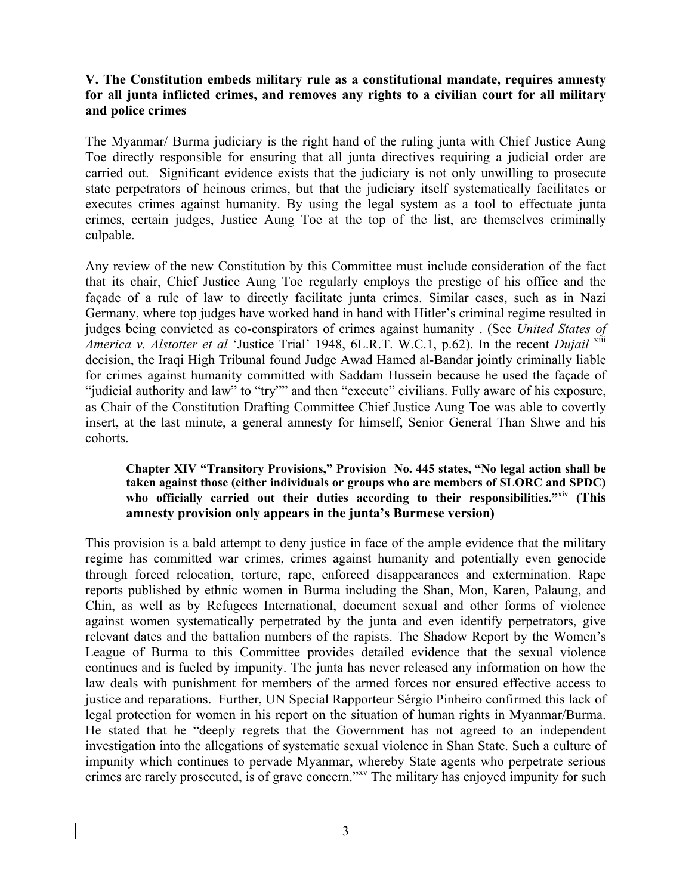### **V. The Constitution embeds military rule as a constitutional mandate, requires amnesty for all junta inflicted crimes, and removes any rights to a civilian court for all military and police crimes**

The Myanmar/ Burma judiciary is the right hand of the ruling junta with Chief Justice Aung Toe directly responsible for ensuring that all junta directives requiring a judicial order are carried out. Significant evidence exists that the judiciary is not only unwilling to prosecute state perpetrators of heinous crimes, but that the judiciary itself systematically facilitates or executes crimes against humanity. By using the legal system as a tool to effectuate junta crimes, certain judges, Justice Aung Toe at the top of the list, are themselves criminally culpable.

Any review of the new Constitution by this Committee must include consideration of the fact that its chair, Chief Justice Aung Toe regularly employs the prestige of his office and the façade of a rule of law to directly facilitate junta crimes. Similar cases, such as in Nazi Germany, where top judges have worked hand in hand with Hitler's criminal regime resulted in judges being convicted as co-conspirators of crimes against humanity . (See *United States of America v. Alstotter et al 'Justice Trial' 1948, 6L.R.T. W.C.1, p.62). In the recent <i>Dujail* <sup>xiii</sup> decision, the Iraqi High Tribunal found Judge Awad Hamed al-Bandar jointly criminally liable for crimes against humanity committed with Saddam Hussein because he used the façade of "judicial authority and law" to "try"" and then "execute" civilians. Fully aware of his exposure, as Chair of the Constitution Drafting Committee Chief Justice Aung Toe was able to covertly insert, at the last minute, a general amnesty for himself, Senior General Than Shwe and his cohorts.

#### **Chapter XIV "Transitory Provisions," Provision No. 445 states, "No legal action shall be taken against those (either individuals or groups who are members of SLORC and SPDC) who officially carried out their duties according to their responsibilities."xiv (This amnesty provision only appears in the junta's Burmese version)**

This provision is a bald attempt to deny justice in face of the ample evidence that the military regime has committed war crimes, crimes against humanity and potentially even genocide through forced relocation, torture, rape, enforced disappearances and extermination. Rape reports published by ethnic women in Burma including the Shan, Mon, Karen, Palaung, and Chin, as well as by Refugees International, document sexual and other forms of violence against women systematically perpetrated by the junta and even identify perpetrators, give relevant dates and the battalion numbers of the rapists. The Shadow Report by the Women's League of Burma to this Committee provides detailed evidence that the sexual violence continues and is fueled by impunity. The junta has never released any information on how the law deals with punishment for members of the armed forces nor ensured effective access to justice and reparations. Further, UN Special Rapporteur Sérgio Pinheiro confirmed this lack of legal protection for women in his report on the situation of human rights in Myanmar/Burma. He stated that he "deeply regrets that the Government has not agreed to an independent investigation into the allegations of systematic sexual violence in Shan State. Such a culture of impunity which continues to pervade Myanmar, whereby State agents who perpetrate serious crimes are rarely prosecuted, is of grave concern.<sup>"xv</sup> The military has enjoyed impunity for such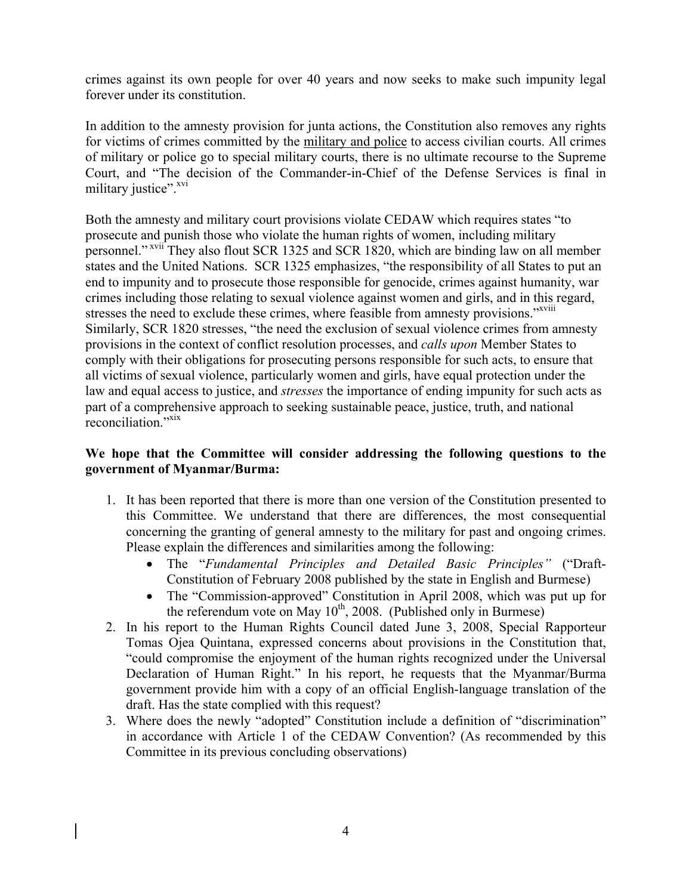crimes against its own people for over 40 years and now seeks to make such impunity legal forever under its constitution.

In addition to the amnesty provision for junta actions, the Constitution also removes any rights for victims of crimes committed by the military and police to access civilian courts. All crimes of military or police go to special military courts, there is no ultimate recourse to the Supreme Court, and "The decision of the Commander-in-Chief of the Defense Services is final in military justice".<sup>xvi</sup>

Both the amnesty and military court provisions violate CEDAW which requires states "to prosecute and punish those who violate the human rights of women, including military personnel." xvii They also flout SCR 1325 and SCR 1820, which are binding law on all member states and the United Nations. SCR 1325 emphasizes, "the responsibility of all States to put an end to impunity and to prosecute those responsible for genocide, crimes against humanity, war crimes including those relating to sexual violence against women and girls, and in this regard, stresses the need to exclude these crimes, where feasible from amnesty provisions."<sup>xviii</sup> Similarly, SCR 1820 stresses, "the need the exclusion of sexual violence crimes from amnesty provisions in the context of conflict resolution processes, and *calls upon* Member States to comply with their obligations for prosecuting persons responsible for such acts, to ensure that all victims of sexual violence, particularly women and girls, have equal protection under the law and equal access to justice, and *stresses* the importance of ending impunity for such acts as part of a comprehensive approach to seeking sustainable peace, justice, truth, and national reconciliation."<sup>xix</sup>

# **We hope that the Committee will consider addressing the following questions to the government of Myanmar/Burma:**

- 1. It has been reported that there is more than one version of the Constitution presented to this Committee. We understand that there are differences, the most consequential concerning the granting of general amnesty to the military for past and ongoing crimes. Please explain the differences and similarities among the following:
	- The "*Fundamental Principles and Detailed Basic Principles"* ("Draft-Constitution of February 2008 published by the state in English and Burmese)
	- The "Commission-approved" Constitution in April 2008, which was put up for the referendum vote on May  $10^{th}$ , 2008. (Published only in Burmese)
- 2. In his report to the Human Rights Council dated June 3, 2008, Special Rapporteur Tomas Ojea Quintana, expressed concerns about provisions in the Constitution that, "could compromise the enjoyment of the human rights recognized under the Universal Declaration of Human Right." In his report, he requests that the Myanmar/Burma government provide him with a copy of an official English-language translation of the draft. Has the state complied with this request?
- 3. Where does the newly "adopted" Constitution include a definition of "discrimination" in accordance with Article 1 of the CEDAW Convention? (As recommended by this Committee in its previous concluding observations)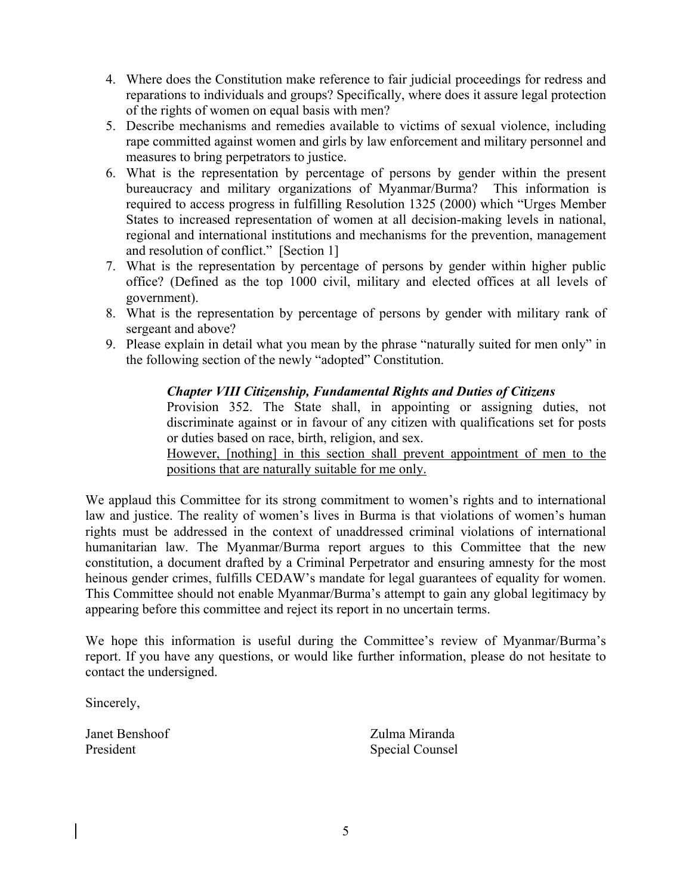- 4. Where does the Constitution make reference to fair judicial proceedings for redress and reparations to individuals and groups? Specifically, where does it assure legal protection of the rights of women on equal basis with men?
- 5. Describe mechanisms and remedies available to victims of sexual violence, including rape committed against women and girls by law enforcement and military personnel and measures to bring perpetrators to justice.
- 6. What is the representation by percentage of persons by gender within the present bureaucracy and military organizations of Myanmar/Burma? This information is required to access progress in fulfilling Resolution 1325 (2000) which "Urges Member States to increased representation of women at all decision-making levels in national, regional and international institutions and mechanisms for the prevention, management and resolution of conflict." [Section 1]
- 7. What is the representation by percentage of persons by gender within higher public office? (Defined as the top 1000 civil, military and elected offices at all levels of government).
- 8. What is the representation by percentage of persons by gender with military rank of sergeant and above?
- 9. Please explain in detail what you mean by the phrase "naturally suited for men only" in the following section of the newly "adopted" Constitution.

# *Chapter VIII Citizenship, Fundamental Rights and Duties of Citizens*

Provision 352. The State shall, in appointing or assigning duties, not discriminate against or in favour of any citizen with qualifications set for posts or duties based on race, birth, religion, and sex.

However, [nothing] in this section shall prevent appointment of men to the positions that are naturally suitable for me only.

We applaud this Committee for its strong commitment to women's rights and to international law and justice. The reality of women's lives in Burma is that violations of women's human rights must be addressed in the context of unaddressed criminal violations of international humanitarian law. The Myanmar/Burma report argues to this Committee that the new constitution, a document drafted by a Criminal Perpetrator and ensuring amnesty for the most heinous gender crimes, fulfills CEDAW's mandate for legal guarantees of equality for women. This Committee should not enable Myanmar/Burma's attempt to gain any global legitimacy by appearing before this committee and reject its report in no uncertain terms.

We hope this information is useful during the Committee's review of Myanmar/Burma's report. If you have any questions, or would like further information, please do not hesitate to contact the undersigned.

Sincerely,

Janet Benshoof Zulma Miranda President Special Counsel